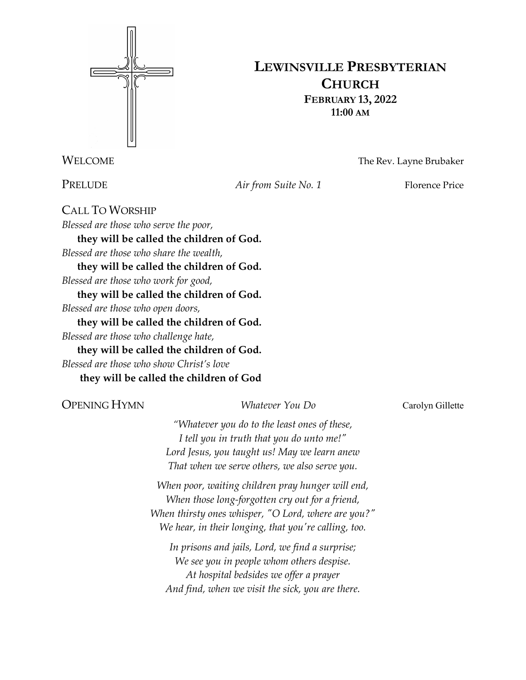

## **LEWINSVILLE PRESBYTERIAN CHURCH FEBRUARY 13, 2022 11:00 AM**

WELCOME The Rev. Layne Brubaker

PRELUDE *Air from Suite No. 1* Florence Price

CALL TO WORSHIP *Blessed are those who serve the poor,*  **they will be called the children of God.**  *Blessed are those who share the wealth,*  **they will be called the children of God.**  *Blessed are those who work for good,*  **they will be called the children of God.**  *Blessed are those who open doors,*  **they will be called the children of God.**  *Blessed are those who challenge hate,*  **they will be called the children of God.** 

*Blessed are those who show Christ's love*

**they will be called the children of God**

### OPENING HYMN *Whatever You Do* Carolyn Gillette

*"Whatever you do to the least ones of these, I tell you in truth that you do unto me!" Lord Jesus, you taught us! May we learn anew That when we serve others, we also serve you.*

*When poor, waiting children pray hunger will end, When those long-forgotten cry out for a friend, When thirsty ones whisper, "O Lord, where are you?" We hear, in their longing, that you're calling, too.*

*In prisons and jails, Lord, we find a surprise; We see you in people whom others despise. At hospital bedsides we offer a prayer And find, when we visit the sick, you are there.*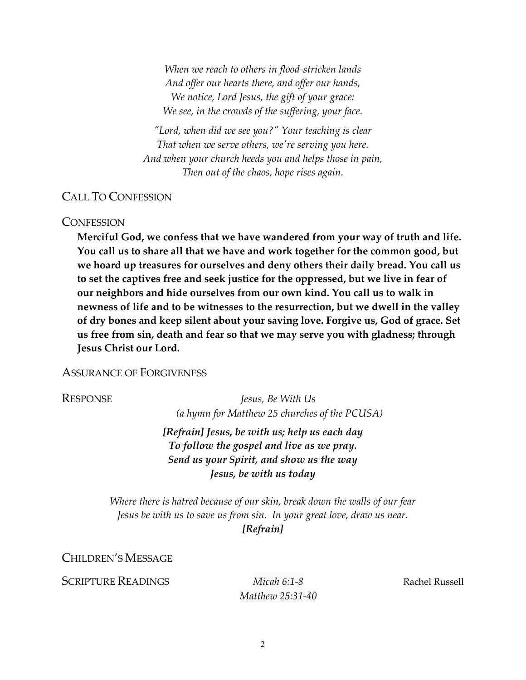*When we reach to others in flood-stricken lands And offer our hearts there, and offer our hands, We notice, Lord Jesus, the gift of your grace: We see, in the crowds of the suffering, your face.*

*"Lord, when did we see you?" Your teaching is clear That when we serve others, we're serving you here. And when your church heeds you and helps those in pain, Then out of the chaos, hope rises again.*

### CALL TO CONFESSION

### **CONFESSION**

**Merciful God, we confess that we have wandered from your way of truth and life. You call us to share all that we have and work together for the common good, but we hoard up treasures for ourselves and deny others their daily bread. You call us to set the captives free and seek justice for the oppressed, but we live in fear of our neighbors and hide ourselves from our own kind. You call us to walk in newness of life and to be witnesses to the resurrection, but we dwell in the valley of dry bones and keep silent about your saving love. Forgive us, God of grace. Set us free from sin, death and fear so that we may serve you with gladness; through Jesus Christ our Lord.**

### ASSURANCE OF FORGIVENESS

RESPONSE *Jesus, Be With Us (a hymn for Matthew 25 churches of the PCUSA)*

> *[Refrain] Jesus, be with us; help us each day To follow the gospel and live as we pray. Send us your Spirit, and show us the way Jesus, be with us today*

*Where there is hatred because of our skin, break down the walls of our fear Jesus be with us to save us from sin. In your great love, draw us near. [Refrain]*

CHILDREN'S MESSAGE

**SCRIPTURE READINGS** *Micah 6:1-8* Rachel Russell

*Matthew 25:31-40*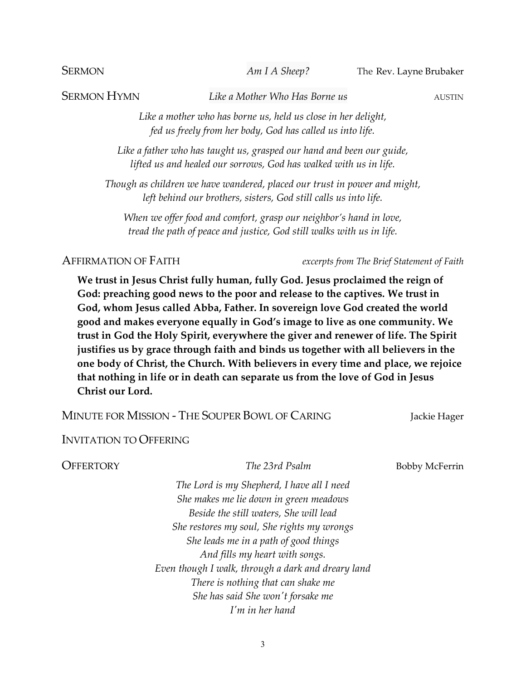SERMON *Am I A Sheep?* The Rev. Layne Brubaker

**SERMON HYMN** *Like a Mother Who Has Borne us AUSTIN* 

*Like a mother who has borne us, held us close in her delight, fed us freely from her body, God has called us into life.*

*Like a father who has taught us, grasped our hand and been our guide, lifted us and healed our sorrows, God has walked with us in life.*

*Though as children we have wandered, placed our trust in power and might, left behind our brothers, sisters, God still calls us into life.*

*When we offer food and comfort, grasp our neighbor's hand in love, tread the path of peace and justice, God still walks with us in life.*

AFFIRMATION OF FAITH *excerpts from The Brief Statement of Faith*

**We trust in Jesus Christ fully human, fully God. Jesus proclaimed the reign of God: preaching good news to the poor and release to the captives. We trust in God, whom Jesus called Abba, Father. In sovereign love God created the world good and makes everyone equally in God's image to live as one community. We trust in God the Holy Spirit, everywhere the giver and renewer of life. The Spirit justifies us by grace through faith and binds us together with all believers in the one body of Christ, the Church. With believers in every time and place, we rejoice that nothing in life or in death can separate us from the love of God in Jesus Christ our Lord.**

MINUTE FOR MISSION - THE SOUPER BOWL OF CARING Jackie Hager

INVITATION TO OFFERING

OFFERTORY *The 23rd Psalm* Bobby McFerrin

*The Lord is my Shepherd, I have all I need She makes me lie down in green meadows Beside the still waters, She will lead She restores my soul, She rights my wrongs She leads me in a path of good things And fills my heart with songs. Even though I walk, through a dark and dreary land There is nothing that can shake me She has said She won't forsake me I'm in her hand*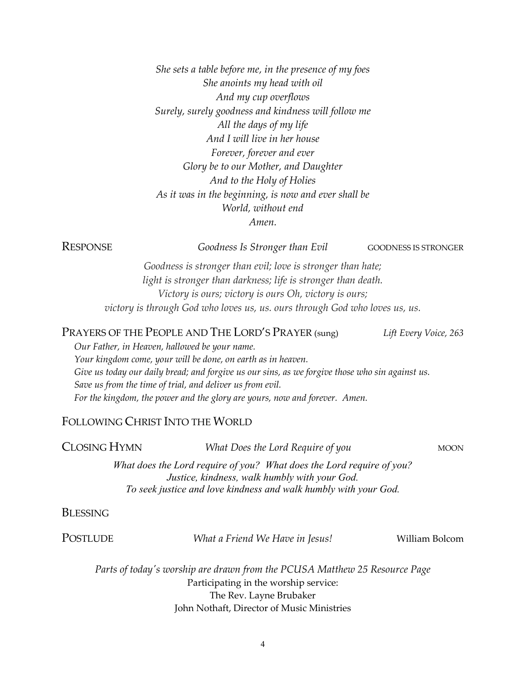*She sets a table before me, in the presence of my foes She anoints my head with oil And my cup overflows Surely, surely goodness and kindness will follow me All the days of my life And I will live in her house Forever, forever and ever Glory be to our Mother, and Daughter And to the Holy of Holies As it was in the beginning, is now and ever shall be World, without end Amen.*

RESPONSE *Goodness Is Stronger than Evil* GOODNESS IS STRONGER

*Goodness is stronger than evil; love is stronger than hate; light is stronger than darkness; life is stronger than death. Victory is ours; victory is ours Oh, victory is ours; victory is through God who loves us, us. ours through God who loves us, us.* 

PRAYERS OF THE PEOPLE AND THE LORD'S PRAYER (sung) *Lift Every Voice, 263*

*Our Father, in Heaven, hallowed be your name. Your kingdom come, your will be done, on earth as in heaven. Give us today our daily bread; and forgive us our sins, as we forgive those who sin against us. Save us from the time of trial, and deliver us from evil. For the kingdom, the power and the glory are yours, now and forever. Amen.*

### FOLLOWING CHRIST INTO THE WORLD

**CLOSING HYMN** *What Does the Lord Require of you MOON What does the Lord require of you? What does the Lord require of you? Justice, kindness, walk humbly with your God. To seek justice and love kindness and walk humbly with your God.*

**BLESSING** 

POSTLUDE *What a Friend We Have in Jesus!* William Bolcom

*Parts of today's worship are drawn from the PCUSA Matthew 25 Resource Page* Participating in the worship service: The Rev. Layne Brubaker John Nothaft, Director of Music Ministries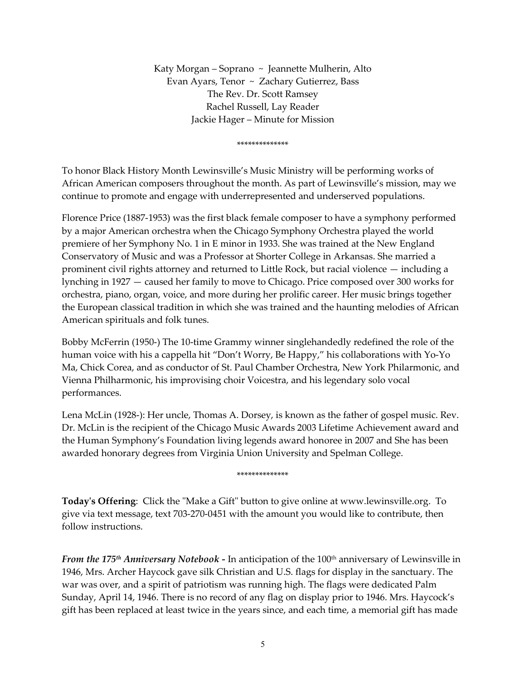Katy Morgan – Soprano ~ Jeannette Mulherin, Alto Evan Ayars, Tenor ~ Zachary Gutierrez, Bass The Rev. Dr. Scott Ramsey Rachel Russell, Lay Reader Jackie Hager – Minute for Mission

\*\*\*\*\*\*\*\*\*\*\*\*\*\*

To honor Black History Month Lewinsville's Music Ministry will be performing works of African American composers throughout the month. As part of Lewinsville's mission, may we continue to promote and engage with underrepresented and underserved populations.

Florence Price (1887-1953) was the first black female composer to have a symphony performed by a major American orchestra when the Chicago Symphony Orchestra played the world premiere of her Symphony No. 1 in E minor in 1933. She was trained at the New England Conservatory of Music and was a Professor at Shorter College in Arkansas. She married a prominent civil rights attorney and returned to Little Rock, but racial violence — including a lynching in 1927 — caused her family to move to Chicago. Price composed over 300 works for orchestra, piano, organ, voice, and more during her prolific career. Her music brings together the European classical tradition in which she was trained and the haunting melodies of African American spirituals and folk tunes.

Bobby McFerrin (1950-) The 10-time Grammy winner singlehandedly redefined the role of the human voice with his a cappella hit "Don't Worry, Be Happy," his collaborations with Yo-Yo Ma, Chick Corea, and as conductor of St. Paul Chamber Orchestra, New York Philarmonic, and Vienna Philharmonic, his improvising choir Voicestra, and his legendary solo vocal performances.

Lena McLin (1928-): Her uncle, Thomas A. Dorsey, is known as the father of gospel music. Rev. Dr. McLin is the recipient of the Chicago Music Awards 2003 Lifetime Achievement award and the Human Symphony's Foundation living legends award honoree in 2007 and She has been awarded honorary degrees from Virginia Union University and Spelman College.

### \*\*\*\*\*\*\*\*\*\*\*\*\*\*

**Today's Offering**: Click the "Make a Gift" button to give online at www.lewinsville.org. To give via text message, text 703-270-0451 with the amount you would like to contribute, then follow instructions.

*From the 175<sup>th</sup> Anniversary Notebook* - In anticipation of the 100<sup>th</sup> anniversary of Lewinsville in 1946, Mrs. Archer Haycock gave silk Christian and U.S. flags for display in the sanctuary. The war was over, and a spirit of patriotism was running high. The flags were dedicated Palm Sunday, April 14, 1946. There is no record of any flag on display prior to 1946. Mrs. Haycock's gift has been replaced at least twice in the years since, and each time, a memorial gift has made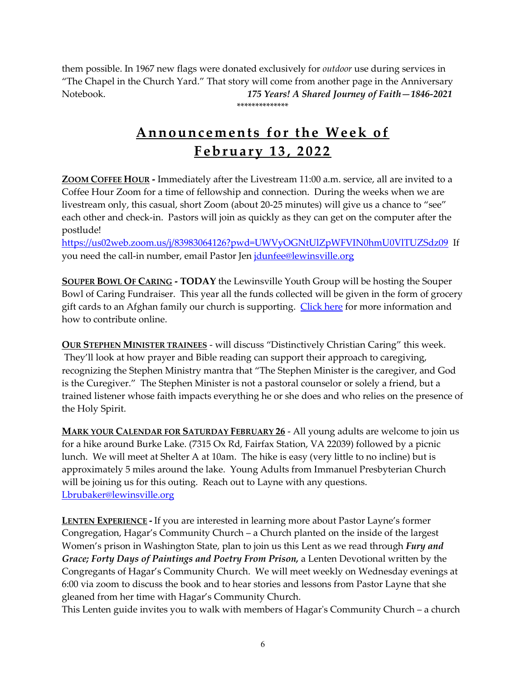them possible. In 1967 new flags were donated exclusively for *outdoor* use during services in "The Chapel in the Church Yard." That story will come from another page in the Anniversary Notebook. *175 Years! A Shared Journey of Faith—1846-2021* \*\*\*\*\*\*\*\*\*\*\*\*\*\*

# **Announcements for the Week of February 1 3 , 2022**

**ZOOM COFFEE HOUR -** Immediately after the Livestream 11:00 a.m. service, all are invited to a Coffee Hour Zoom for a time of fellowship and connection. During the weeks when we are livestream only, this casual, short Zoom (about 20-25 minutes) will give us a chance to "see" each other and check-in. Pastors will join as quickly as they can get on the computer after the postlude!

<https://us02web.zoom.us/j/83983064126?pwd=UWVyOGNtUlZpWFVIN0hmU0VlTUZSdz09> If you need the call-in number, email Pastor Jen [jdunfee@lewinsville.org](mailto:jdunfee@lewinsville.org)

**SOUPER BOWL OF CARING - TODAY** the Lewinsville Youth Group will be hosting the Souper Bowl of Caring Fundraiser. This year all the funds collected will be given in the form of grocery gift cards to an Afghan family our church is supporting. [Click here](https://www.lewinsville.org/events/souper-bowl-of-caring/) for more information and how to contribute online.

**OUR STEPHEN MINISTER TRAINEES** - will discuss "Distinctively Christian Caring" this week. They'll look at how prayer and Bible reading can support their approach to caregiving, recognizing the Stephen Ministry mantra that "The Stephen Minister is the caregiver, and God is the Curegiver." The Stephen Minister is not a pastoral counselor or solely a friend, but a trained listener whose faith impacts everything he or she does and who relies on the presence of the Holy Spirit.

**MARK YOUR CALENDAR FOR SATURDAY FEBRUARY 26** - All young adults are welcome to join us for a hike around Burke Lake. (7315 Ox Rd, Fairfax Station, VA 22039) followed by a picnic lunch. We will meet at Shelter A at 10am. The hike is easy (very little to no incline) but is approximately 5 miles around the lake. Young Adults from Immanuel Presbyterian Church will be joining us for this outing. Reach out to Layne with any questions. [Lbrubaker@lewinsville.org](mailto:Lbrubaker@lewinsville.org)

**LENTEN EXPERIENCE -** If you are interested in learning more about Pastor Layne's former Congregation, Hagar's Community Church – a Church planted on the inside of the largest Women's prison in Washington State, plan to join us this Lent as we read through *Fury and Grace; Forty Days of Paintings and Poetry From Prison,* a Lenten Devotional written by the Congregants of Hagar's Community Church. We will meet weekly on Wednesday evenings at 6:00 via zoom to discuss the book and to hear stories and lessons from Pastor Layne that she gleaned from her time with Hagar's Community Church.

This Lenten guide invites you to walk with members of Hagar's Community Church – a church